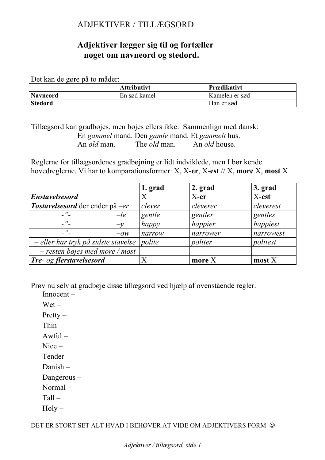# ADJEKTIVER / TILLÆGSORD

## **Adjektiver lægger sig til og fortæller noget om navneord og stedord.**

Det kan de gøre på to måder:

|                 | <b>Attributivt</b> | Prædikativt    |
|-----------------|--------------------|----------------|
| <b>Navneord</b> | En sød kamel       | Kamelen er sød |
| <b>Stedord</b>  |                    | Han er sød     |

Tillægsord kan gradbøjes, men bøjes ellers ikke. Sammenlign med dansk: En *gammel* mand. Den *gamle* mand. Et *gammelt* hus. An *old* man. The *old* man. An *old* house.

Reglerne for tillægsordenes gradbøjning er lidt indviklede, men I bør kende hovedreglerne. Vi har to komparationsformer: X, X-**er**, X-**est** // X, **more** X, **most** X

|                                     | 1. grad                   | 2. grad  | 3. grad          |
|-------------------------------------|---------------------------|----------|------------------|
| <b>Enstavelsesord</b>               | X                         | $X-er$   | X-est            |
| Tostavelsesord der ender på –er     | clever                    | cleverer | cleverest        |
| $, \, \cdot$<br>$-l$ e              | gentle                    | gentler  | gentles          |
| $\overline{\phantom{a}}$ "<br>$-v$  | happy                     | happier  | happiest         |
| $\mathcal{D}_{\perp}$<br>$-OW$      | narrow                    | narrower | narrowest        |
| - eller har tryk på sidste stavelse | $ {\scriptstyle{policy}}$ | politer  | politest         |
| $-$ resten bøjes med more / most    |                           |          |                  |
| Tre- og flerstavelsesord            | Χ                         | more $X$ | $\text{most } X$ |

Prøv nu selv at gradbøje disse tillægsord ved hjælp af ovenstående regler.

Innocent –

- Wet –
- Pretty –
- Thin –
- $Awful -$
- Nice –
- Tender –
- Danish –

Dangerous –

Normal –

Tall –

 $Holy -$ 

DET ER STORT SET ALT HVAD I BEHØVER AT VIDE OM ADJEKTIVERS FORM  $\odot$ 

*Adjektiver / tillægsord, side 1*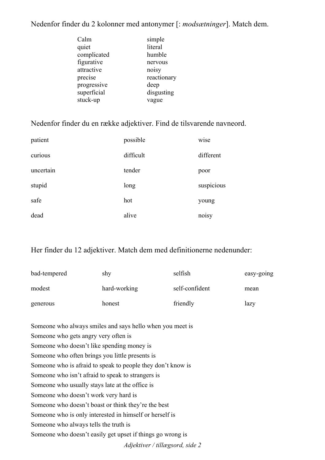# Nedenfor finder du 2 kolonner med antonymer [: *modsætninger*]. Match dem.

| Calm        | simple      |
|-------------|-------------|
| quiet       | literal     |
|             |             |
| complicated | humble      |
| figurative  | nervous     |
| attractive  | noisy       |
| precise     | reactionary |
| progressive | deep        |
| superficial | disgusting  |
| stuck-up    | vague       |
|             |             |

## Nedenfor finder du en række adjektiver. Find de tilsvarende navneord.

| patient   | possible  | wise       |
|-----------|-----------|------------|
| curious   | difficult | different  |
| uncertain | tender    | poor       |
| stupid    | long      | suspicious |
| safe      | hot       | young      |
| dead      | alive     | noisy      |

# Her finder du 12 adjektiver. Match dem med definitionerne nedenunder:

| bad-tempered | shy          | selfish        | easy-going |
|--------------|--------------|----------------|------------|
| modest       | hard-working | self-confident | mean       |
| generous     | honest       | friendly       | lazy       |

| Someone who always smiles and says hello when you meet is   |
|-------------------------------------------------------------|
| Someone who gets angry very often is                        |
| Someone who doesn't like spending money is                  |
| Someone who often brings you little presents is             |
| Someone who is afraid to speak to people they don't know is |
| Someone who isn't afraid to speak to strangers is           |
| Someone who usually stays late at the office is             |
| Someone who doesn't work very hard is                       |
| Someone who doesn't boast or think they're the best         |
| Someone who is only interested in himself or herself is     |
| Someone who always tells the truth is                       |
| Someone who doesn't easily get upset if things go wrong is  |
| Adjektiver / tillægsord, side 2                             |